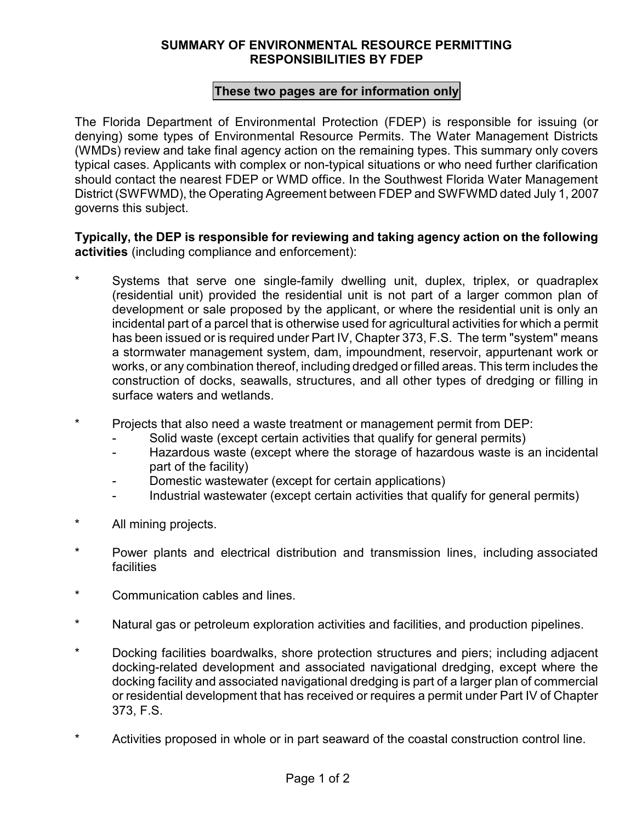## **SUMMARY OF ENVIRONMENTAL RESOURCE PERMITTING RESPONSIBILITIES BY FDEP**

## **These two pages are for information only**

The Florida Department of Environmental Protection (FDEP) is responsible for issuing (or denying) some types of Environmental Resource Permits. The Water Management Districts (WMDs) review and take final agency action on the remaining types. This summary only covers typical cases. Applicants with complex or non-typical situations or who need further clarification should contact the nearest FDEP or WMD office. In the Southwest Florida Water Management District (SWFWMD), the Operating Agreement between FDEP and SWFWMD dated July 1, 2007 governs this subject.

## **Typically, the DEP is responsible for reviewing and taking agency action on the following activities** (including compliance and enforcement):

- Systems that serve one single-family dwelling unit, duplex, triplex, or quadraplex (residential unit) provided the residential unit is not part of a larger common plan of development or sale proposed by the applicant, or where the residential unit is only an incidental part of a parcel that is otherwise used for agricultural activities for which a permit has been issued or is required under Part IV, Chapter 373, F.S. The term "system" means a stormwater management system, dam, impoundment, reservoir, appurtenant work or works, or any combination thereof, including dredged or filled areas. This term includes the construction of docks, seawalls, structures, and all other types of dredging or filling in surface waters and wetlands.
- \* Projects that also need a waste treatment or management permit from DEP:
	- Solid waste (except certain activities that qualify for general permits)
	- Hazardous waste (except where the storage of hazardous waste is an incidental part of the facility)
	- Domestic wastewater (except for certain applications)
	- Industrial wastewater (except certain activities that qualify for general permits)
- \* All mining projects.
- \* Power plants and electrical distribution and transmission lines, including associated **facilities**
- \* Communication cables and lines.
- \* Natural gas or petroleum exploration activities and facilities, and production pipelines.
- \* Docking facilities boardwalks, shore protection structures and piers; including adjacent docking-related development and associated navigational dredging, except where the docking facility and associated navigational dredging is part of a larger plan of commercial or residential development that has received or requires a permit under Part IV of Chapter 373, F.S.
- \* Activities proposed in whole or in part seaward of the coastal construction control line.